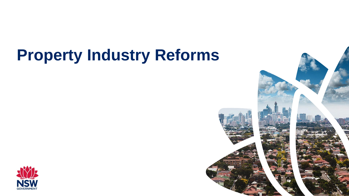# **Property Industry Reforms**



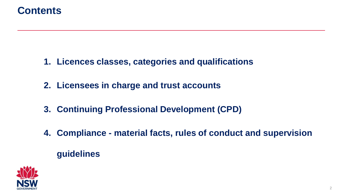## **Contents**

- **1. Licences classes, categories and qualifications**
- **2. Licensees in charge and trust accounts**
- **3. Continuing Professional Development (CPD)**
- **4. Compliance - material facts, rules of conduct and supervision guidelines**

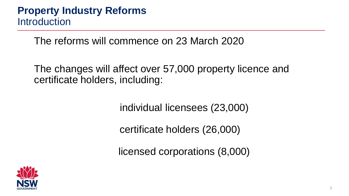The reforms will commence on 23 March 2020

The changes will affect over 57,000 property licence and certificate holders, including:

individual licensees (23,000)

certificate holders (26,000)

licensed corporations (8,000)

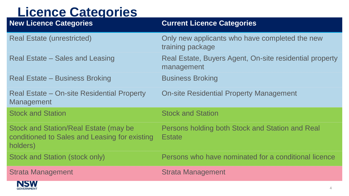# **Licence Categories**

**GOVERNMENT** 

| <b>Contract Contract Contract Contract</b><br>$\sim$ $\sim$ $\sim$ $\sim$ $\sim$ $\sim$ $\sim$<br><b>New Licence Categories</b> | <b>Current Licence Categories</b>                                     |
|---------------------------------------------------------------------------------------------------------------------------------|-----------------------------------------------------------------------|
| <b>Real Estate (unrestricted)</b>                                                                                               | Only new applicants who have completed the new<br>training package    |
| Real Estate – Sales and Leasing                                                                                                 | Real Estate, Buyers Agent, On-site residential property<br>management |
| Real Estate – Business Broking                                                                                                  | <b>Business Broking</b>                                               |
| Real Estate – On-site Residential Property<br><b>Management</b>                                                                 | <b>On-site Residential Property Management</b>                        |
| <b>Stock and Station</b>                                                                                                        | <b>Stock and Station</b>                                              |
| Stock and Station/Real Estate (may be<br>conditioned to Sales and Leasing for existing<br>holders)                              | Persons holding both Stock and Station and Real<br><b>Estate</b>      |
| Stock and Station (stock only)                                                                                                  | Persons who have nominated for a conditional licence                  |
| <b>Strata Management</b>                                                                                                        | <b>Strata Management</b>                                              |
| <b>NSW</b>                                                                                                                      |                                                                       |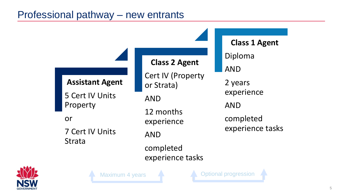# Professional pathway – new entrants



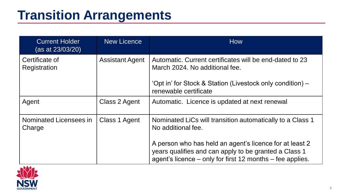# **Transition Arrangements**

| <b>Current Holder</b><br>(as at 23/03/20) | <b>New Licence</b>     | <b>How</b>                                                                                                                                                                    |  |  |
|-------------------------------------------|------------------------|-------------------------------------------------------------------------------------------------------------------------------------------------------------------------------|--|--|
| Certificate of<br>Registration            | <b>Assistant Agent</b> | Automatic. Current certificates will be end-dated to 23<br>March 2024. No additional fee.                                                                                     |  |  |
|                                           |                        | 'Opt in' for Stock & Station (Livestock only condition) –<br>renewable certificate                                                                                            |  |  |
| Agent                                     | Class 2 Agent          | Automatic. Licence is updated at next renewal                                                                                                                                 |  |  |
| Nominated Licensees in<br>Charge          | Class 1 Agent          | Nominated LiCs will transition automatically to a Class 1<br>No additional fee.                                                                                               |  |  |
|                                           |                        | A person who has held an agent's licence for at least 2<br>years qualifies and can apply to be granted a Class 1<br>agent's licence – only for first 12 months – fee applies. |  |  |

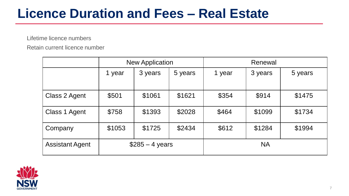# **Licence Duration and Fees – Real Estate**

Lifetime licence numbers

Retain current licence number

|                        | <b>New Application</b>   |         |         | Renewal   |         |         |
|------------------------|--------------------------|---------|---------|-----------|---------|---------|
|                        | 1 year                   | 3 years | 5 years | 1 year    | 3 years | 5 years |
| Class 2 Agent          | \$501                    | \$1061  | \$1621  | \$354     | \$914   | \$1475  |
| Class 1 Agent          | \$758                    | \$1393  | \$2028  | \$464     | \$1099  | \$1734  |
| Company                | \$1053                   | \$1725  | \$2434  | \$612     | \$1284  | \$1994  |
| <b>Assistant Agent</b> | $$285 - 4 \text{ years}$ |         |         | <b>NA</b> |         |         |

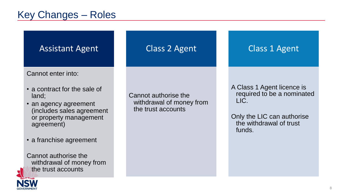# Key Changes – Roles



Cannot enter into:

- a contract for the sale of land;
- an agency agreement (includes sales agreement or property management agreement)
- a franchise agreement

Cannot authorise the withdrawal of money from the trust accounts

#### Cannot authorise the withdrawal of money from the trust accounts

Class 2 Agent

Class 1 Agent

A Class 1 Agent licence is required to be a nominated LIC.

Only the LIC can authorise the withdrawal of trust funds.

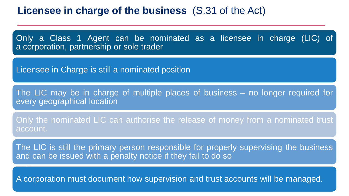### **Licensee in charge of the business** (S.31 of the Act)

Only a Class 1 Agent can be nominated as a licensee in charge (LIC) of a corporation, partnership or sole trader

Licensee in Charge is still a nominated position

The LIC may be in charge of multiple places of business – no longer required for every geographical location

Only the nominated LIC can authorise the release of money from a nominated trust account.

The LIC is still the primary person responsible for properly supervising the business and can be issued with a penalty notice if they fail to do so

A corporation must document how supervision and trust accounts will be managed.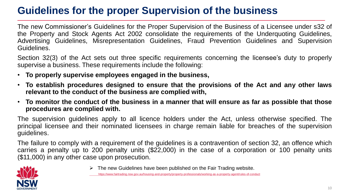# **Guidelines for the proper Supervision of the business**

The new Commissioner's Guidelines for the Proper Supervision of the Business of a Licensee under s32 of the Property and Stock Agents Act 2002 consolidate the requirements of the Underquoting Guidelines, Advertising Guidelines, Misrepresentation Guidelines, Fraud Prevention Guidelines and Supervision Guidelines.

Section 32(3) of the Act sets out three specific requirements concerning the licensee's duty to properly supervise a business. These requirements include the following:

- **To properly supervise employees engaged in the business,**
- **To establish procedures designed to ensure that the provisions of the Act and any other laws relevant to the conduct of the business are complied with,**
- To monitor the conduct of the business in a manner that will ensure as far as possible that those **procedures are complied with.**

The supervision guidelines apply to all licence holders under the Act, unless otherwise specified. The principal licensee and their nominated licensees in charge remain liable for breaches of the supervision guidelines.

The failure to comply with a requirement of the guidelines is a contravention of section 32, an offence which carries a penalty up to 200 penalty units (\$22,000) in the case of a corporation or 100 penalty units (\$11,000) in any other case upon prosecution.



 $\triangleright$  The new Guidelines have been published on the Fair Trading website.

https://www.fairtrading.nsw.gov.au/housing-and-property/property-professionals/working-as-a-property-agent/rules-of-conduct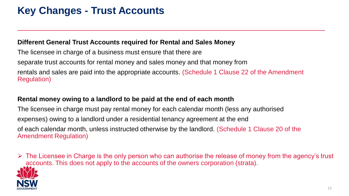# **Key Changes - Trust Accounts**

#### **Different General Trust Accounts required for Rental and Sales Money**

The licensee in charge of a business must ensure that there are separate trust accounts for rental money and sales money and that money from rentals and sales are paid into the appropriate accounts. (Schedule 1 Clause 22 of the Amendment Regulation)

#### **Rental money owing to a landlord to be paid at the end of each month**

The licensee in charge must pay rental money for each calendar month (less any authorised expenses) owing to a landlord under a residential tenancy agreement at the end of each calendar month, unless instructed otherwise by the landlord. (Schedule 1 Clause 20 of the Amendment Regulation)

 $\triangleright$  The Licensee in Charge is the only person who can authorise the release of money from the agency's trust accounts. This does not apply to the accounts of the owners corporation (strata).

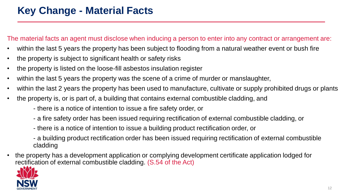The material facts an agent must disclose when inducing a person to enter into any contract or arrangement are:

- within the last 5 years the property has been subject to flooding from a natural weather event or bush fire
- the property is subject to significant health or safety risks
- the property is listed on the loose-fill asbestos insulation register
- within the last 5 years the property was the scene of a crime of murder or manslaughter,
- within the last 2 years the property has been used to manufacture, cultivate or supply prohibited drugs or plants
- the property is, or is part of, a building that contains external combustible cladding, and
	- there is a notice of intention to issue a fire safety order, or
	- a fire safety order has been issued requiring rectification of external combustible cladding, or
	- there is a notice of intention to issue a building product rectification order, or
	- a building product rectification order has been issued requiring rectification of external combustible cladding
- the property has a development application or complying development certificate application lodged for rectification of external combustible cladding. (S.54 of the Act)

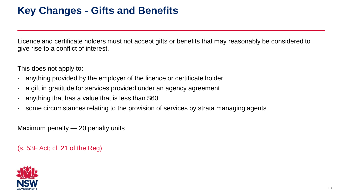# **Key Changes - Gifts and Benefits**

Licence and certificate holders must not accept gifts or benefits that may reasonably be considered to give rise to a conflict of interest.

This does not apply to:

- anything provided by the employer of the licence or certificate holder
- a gift in gratitude for services provided under an agency agreement
- anything that has a value that is less than \$60
- some circumstances relating to the provision of services by strata managing agents

Maximum penalty — 20 penalty units

(s. 53F Act; cl. 21 of the Reg)

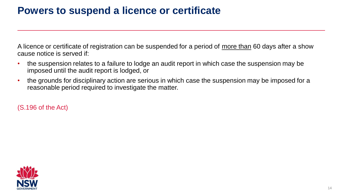## **Powers to suspend a licence or certificate**

A licence or certificate of registration can be suspended for a period of more than 60 days after a show cause notice is served if:

- the suspension relates to a failure to lodge an audit report in which case the suspension may be imposed until the audit report is lodged, or
- the grounds for disciplinary action are serious in which case the suspension may be imposed for a reasonable period required to investigate the matter.

(S.196 of the Act)

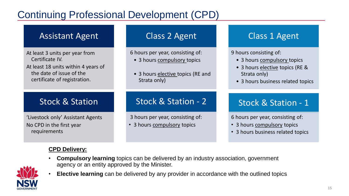# Continuing Professional Development (CPD)

### Assistant Agent

At least 3 units per year from Certificate IV. At least 18 units within 4 years of

the date of issue of the certificate of registration.

## Stock & Station

'Livestock only' Assistant Agents No CPD in the first year requirements

#### **CPD Delivery:**

#### Class 2 Agent

6 hours per year, consisting of:

- 3 hours compulsory topics
- 3 hours elective topics (RE and Strata only)

## Stock & Station - 2

3 hours per year, consisting of:

• 3 hours compulsory topics

### Class 1 Agent

9 hours consisting of:

- 3 hours compulsory topics
- 3 hours elective topics (RE & Strata only)
- 3 hours business related topics

### Stock & Station - 1

6 hours per year, consisting of:

- 3 hours compulsory topics
- 3 hours business related topics

• **Compulsory learning** topics can be delivered by an industry association, government agency or an entity approved by the Minister.



• **Elective learning** can be delivered by any provider in accordance with the outlined topics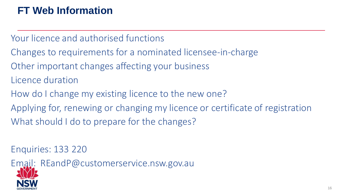# **FT Web Information**

Your licence and authorised functions

- Changes to requirements for a nominated licensee-in-charge
- Other important changes affecting your business
- Licence duration
- How do I change my existing licence to the new one?
- Applying for, renewing or changing my licence or certificate of registration What should I do to prepare for the changes?

Enquiries: 133 220